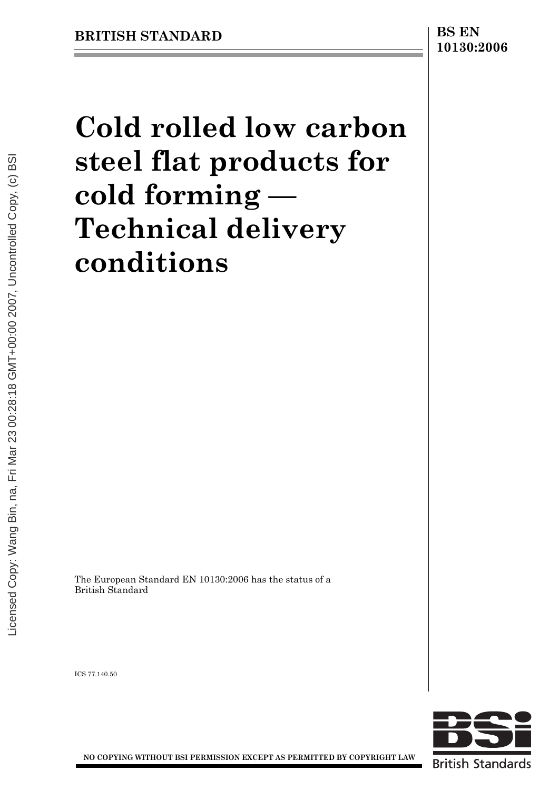# **Cold rolled low carbon steel flat products for cold forming — Technical delivery conditions**

The European Standard EN 10130:2006 has the status of a British Standard

ICS 77.140.50



NO COPYING WITHOUT BSI PERMISSION EXCEPT AS PERMITTED BY COPYRIGHT LAW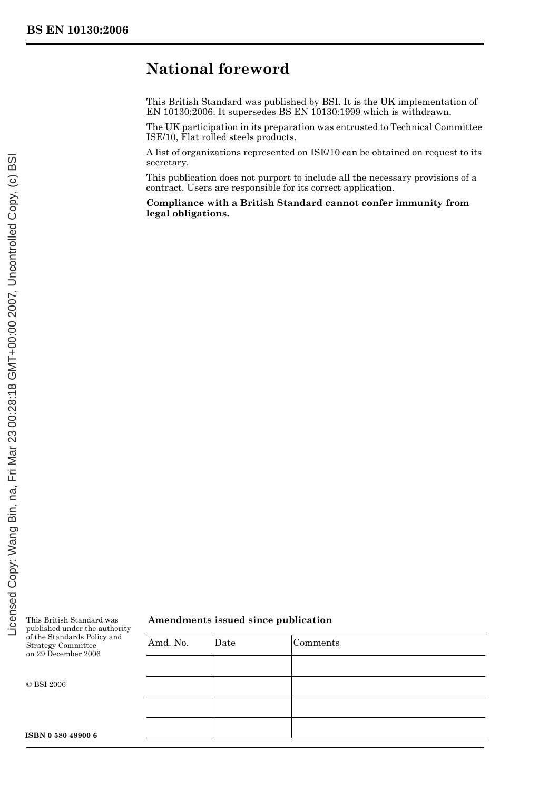# **National foreword**

This British Standard was published by BSI. It is the UK implementation of EN 10130:2006. It supersedes BS EN 10130:1999 which is withdrawn.

The UK participation in its preparation was entrusted to Technical Committee ISE/10, Flat rolled steels products.

A list of organizations represented on ISE/10 can be obtained on request to its secretary.

This publication does not purport to include all the necessary provisions of a contract. Users are responsible for its correct application.

**Compliance with a British Standard cannot confer immunity from legal obligations.**

This British Standard was published under the authority of the Standards Policy and Strategy Committee on 29 December 2006

### **Amendments issued since publication**

| Amd. No. Date | Comments |
|---------------|----------|
|               |          |
|               |          |
|               |          |
|               |          |
|               |          |

**ISBN 0 580 49900 6**

© BSI 2006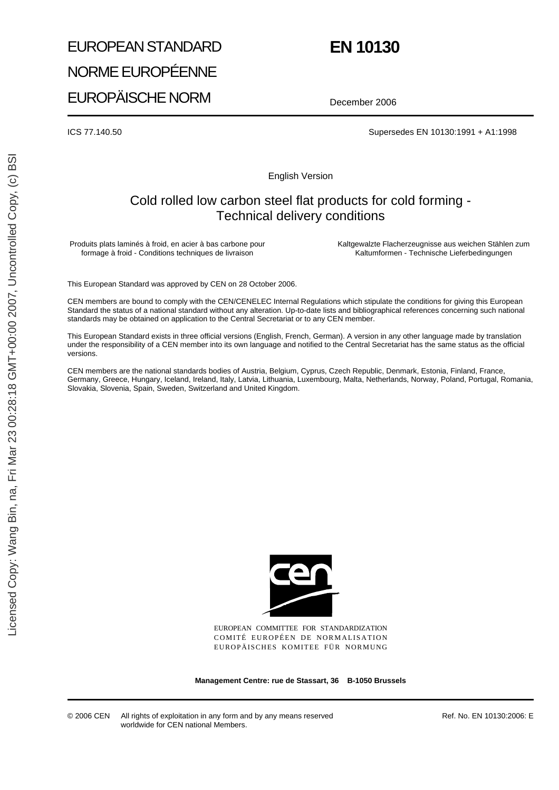# Licensed Copy: Wang Bin, na, Fri Mar 23 00:28:18 GMT+00:00 2007, Uncontrolled Copy, (c) BSI Licensed Copy: Wang Bin, na, Fri Mar 23 00:28:18 GMT+00:00 2007, Uncontrolled Copy, (c) BSI

# EUROPEAN STANDARD NORME EUROPÉENNE EUROPÄISCHE NORM

# **EN 10130**

December 2006

ICS 77.140.50 Supersedes EN 10130:1991 + A1:1998

English Version

### Cold rolled low carbon steel flat products for cold forming - Technical delivery conditions

Produits plats laminés à froid, en acier à bas carbone pour formage à froid - Conditions techniques de livraison

Kaltgewalzte Flacherzeugnisse aus weichen Stählen zum Kaltumformen - Technische Lieferbedingungen

This European Standard was approved by CEN on 28 October 2006.

CEN members are bound to comply with the CEN/CENELEC Internal Regulations which stipulate the conditions for giving this European Standard the status of a national standard without any alteration. Up-to-date lists and bibliographical references concerning such national standards may be obtained on application to the Central Secretariat or to any CEN member.

This European Standard exists in three official versions (English, French, German). A version in any other language made by translation under the responsibility of a CEN member into its own language and notified to the Central Secretariat has the same status as the official versions.

CEN members are the national standards bodies of Austria, Belgium, Cyprus, Czech Republic, Denmark, Estonia, Finland, France, Germany, Greece, Hungary, Iceland, Ireland, Italy, Latvia, Lithuania, Luxembourg, Malta, Netherlands, Norway, Poland, Portugal, Romania, Slovakia, Slovenia, Spain, Sweden, Switzerland and United Kingdom.



EUROPEAN COMMITTEE FOR STANDARDIZATION COMITÉ EUROPÉEN DE NORMALISATION EUROPÄISCHES KOMITEE FÜR NORMUNG

**Management Centre: rue de Stassart, 36 B-1050 Brussels**

© 2006 CEN All rights of exploitation in any form and by any means reserved worldwide for CEN national Members.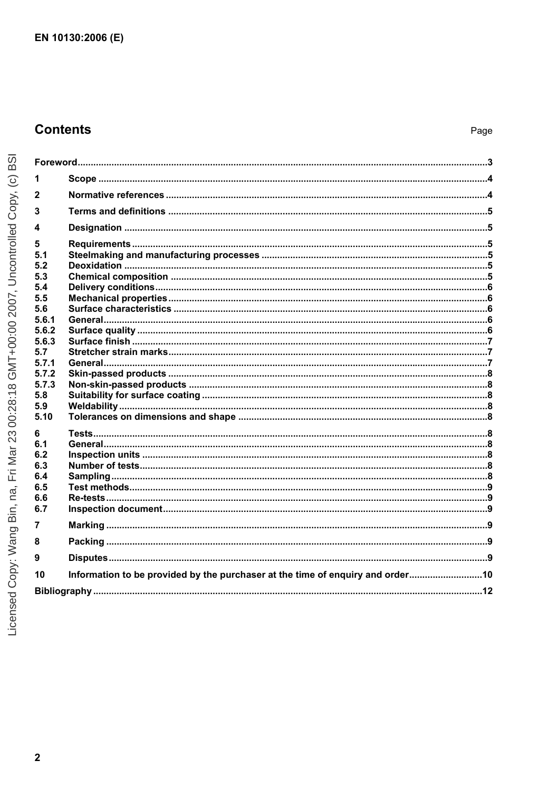### EN 10130:2006 (E)

# **Contents**

| $\mathbf{2}$                                                                                                    |                                                                                |  |  |  |  |  |  |
|-----------------------------------------------------------------------------------------------------------------|--------------------------------------------------------------------------------|--|--|--|--|--|--|
| 3                                                                                                               |                                                                                |  |  |  |  |  |  |
| 4                                                                                                               |                                                                                |  |  |  |  |  |  |
| 5<br>5.1<br>5.2<br>5.3<br>5.4<br>5.5<br>5.6<br>5.6.1<br>5.6.2<br>5.6.3<br>5.7<br>5.7.1<br>5.7.2<br>5.7.3<br>5.8 |                                                                                |  |  |  |  |  |  |
| 5.9<br>5.10                                                                                                     |                                                                                |  |  |  |  |  |  |
| 6<br>6.1<br>6.2<br>6.3<br>6.4<br>6.5<br>6.6<br>6.7                                                              |                                                                                |  |  |  |  |  |  |
| 7                                                                                                               |                                                                                |  |  |  |  |  |  |
| 8                                                                                                               |                                                                                |  |  |  |  |  |  |
| 9                                                                                                               |                                                                                |  |  |  |  |  |  |
| 10                                                                                                              | Information to be provided by the purchaser at the time of enquiry and order10 |  |  |  |  |  |  |
|                                                                                                                 |                                                                                |  |  |  |  |  |  |

Page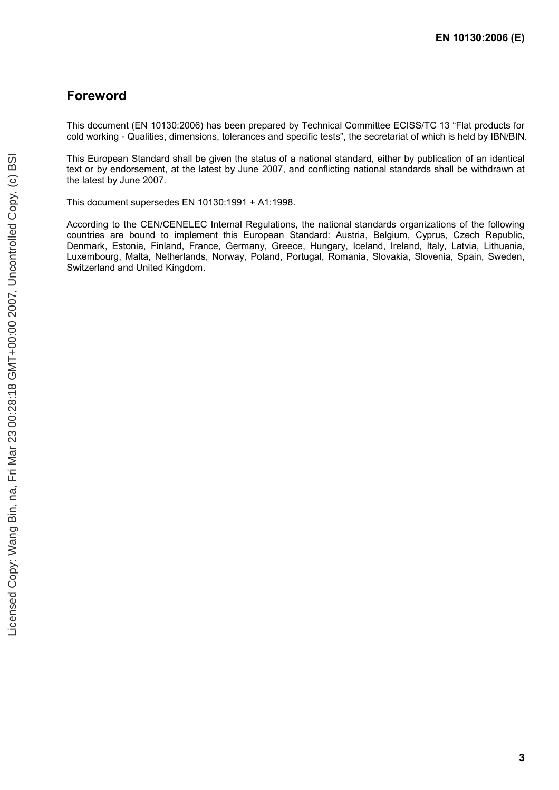### **Foreword**

This document (EN 10130:2006) has been prepared by Technical Committee ECISS/TC 13 "Flat products for cold working - Qualities, dimensions, tolerances and specific tests", the secretariat of which is held by IBN/BIN.

This European Standard shall be given the status of a national standard, either by publication of an identical text or by endorsement, at the latest by June 2007, and conflicting national standards shall be withdrawn at the latest by June 2007.

This document supersedes EN 10130:1991 + A1:1998.

According to the CEN/CENELEC Internal Regulations, the national standards organizations of the following countries are bound to implement this European Standard: Austria, Belgium, Cyprus, Czech Republic, Denmark, Estonia, Finland, France, Germany, Greece, Hungary, Iceland, Ireland, Italy, Latvia, Lithuania, Luxembourg, Malta, Netherlands, Norway, Poland, Portugal, Romania, Slovakia, Slovenia, Spain, Sweden, Switzerland and United Kingdom.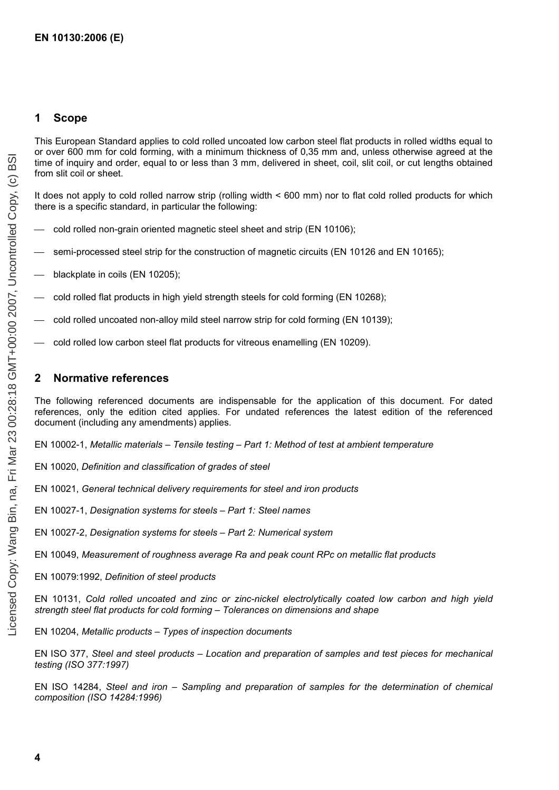### **1 Scope**

This European Standard applies to cold rolled uncoated low carbon steel flat products in rolled widths equal to or over 600 mm for cold forming, with a minimum thickness of 0,35 mm and, unless otherwise agreed at the time of inquiry and order, equal to or less than 3 mm, delivered in sheet, coil, slit coil, or cut lengths obtained from slit coil or sheet.

It does not apply to cold rolled narrow strip (rolling width < 600 mm) nor to flat cold rolled products for which there is a specific standard, in particular the following:

- cold rolled non-grain oriented magnetic steel sheet and strip (EN 10106);
- semi-processed steel strip for the construction of magnetic circuits (EN 10126 and EN 10165);
- blackplate in coils (EN 10205);
- cold rolled flat products in high yield strength steels for cold forming (EN 10268);
- cold rolled uncoated non-alloy mild steel narrow strip for cold forming (EN 10139);
- cold rolled low carbon steel flat products for vitreous enamelling (EN 10209).

### **2 Normative references**

ble for the application of this document. For dated<br>ted references the latest edition of the referenced The following referenced documents are indispensable for the application of this document. For dated references, only the edition cited applies. For undated references the latest edition of the referenced document (including any amendments) applies.

EN 10002-1, *Metallic materials – Tensile testing – Part 1: Method of test at ambient temperature*

EN 10020, *Definition and classification of grades of steel*

EN 10021, *General technical delivery requirements for steel and iron products*

EN 10027-1, *Designation systems for steels – Part 1: Steel names*

EN 10027-2, *Designation systems for steels – Part 2: Numerical system* 

EN 10049, *Measurement of roughness average Ra and peak count RPc on metallic flat products*

EN 10079:1992, *Definition of steel products*

EN 10131, *Cold rolled uncoated and zinc or zinc-nickel electrolytically coated low carbon and high yield strength steel flat products for cold forming – Tolerances on dimensions and shape*

EN 10204, *Metallic products – Types of inspection documents*

EN ISO 377, *Steel and steel products – Location and preparation of samples and test pieces for mechanical testing (ISO 377:1997)* 

EN ISO 14284, *Steel and iron – Sampling and preparation of samples for the determination of chemical composition (ISO 14284:1996)*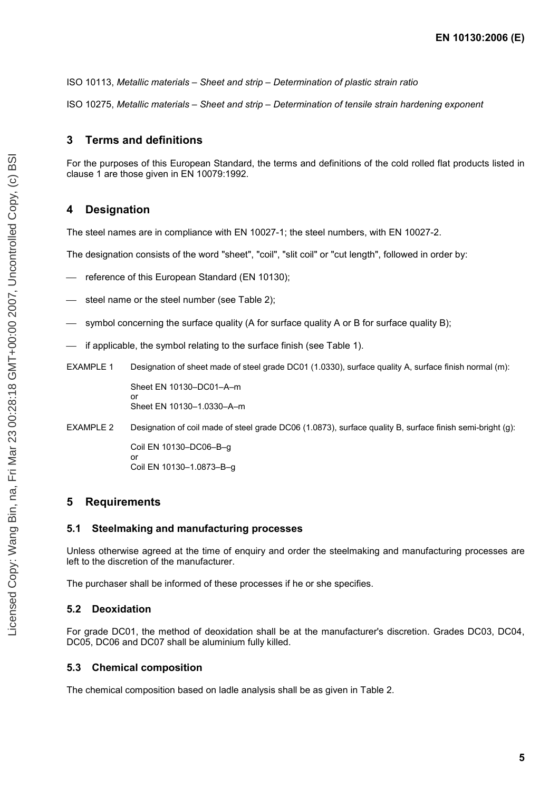ISO 10113, *Metallic materials – Sheet and strip – Determination of plastic strain ratio*

ISO 10275, *Metallic materials – Sheet and strip – Determination of tensile strain hardening exponent*

### **3 Terms and definitions**

For the purposes of this European Standard, the terms and definitions of the cold rolled flat products listed in clause 1 are those given in EN 10079:1992.

### **4 Designation**

The steel names are in compliance with EN 10027-1; the steel numbers, with EN 10027-2.

The designation consists of the word "sheet", "coil", "slit coil" or "cut length", followed in order by:

- reference of this European Standard (EN 10130);
- steel name or the steel number (see Table 2);
- symbol concerning the surface quality (A for surface quality A or B for surface quality B);
- if applicable, the symbol relating to the surface finish (see Table 1).
- EXAMPLE 1 Designation of sheet made of steel grade DC01 (1.0330), surface quality A, surface finish normal (m):

Sheet EN 10130–DC01–A–m or Sheet EN 10130–1.0330–A–m

EXAMPLE 2 Designation of coil made of steel grade DC06 (1.0873), surface quality B, surface finish semi-bright (g): Coil EN 10130–DC06–B–g

> or Coil EN 10130–1.0873–B–g

### **5 Requirements**

### **5.1 Steelmaking and manufacturing processes**

Unless otherwise agreed at the time of enquiry and order the steelmaking and manufacturing processes are left to the discretion of the manufacturer.

The purchaser shall be informed of these processes if he or she specifies.

### **5.2 Deoxidation**

For grade DC01, the method of deoxidation shall be at the manufacturer's discretion. Grades DC03, DC04, DC05, DC06 and DC07 shall be aluminium fully killed.

### **5.3 Chemical composition**

The chemical composition based on ladle analysis shall be as given in Table 2.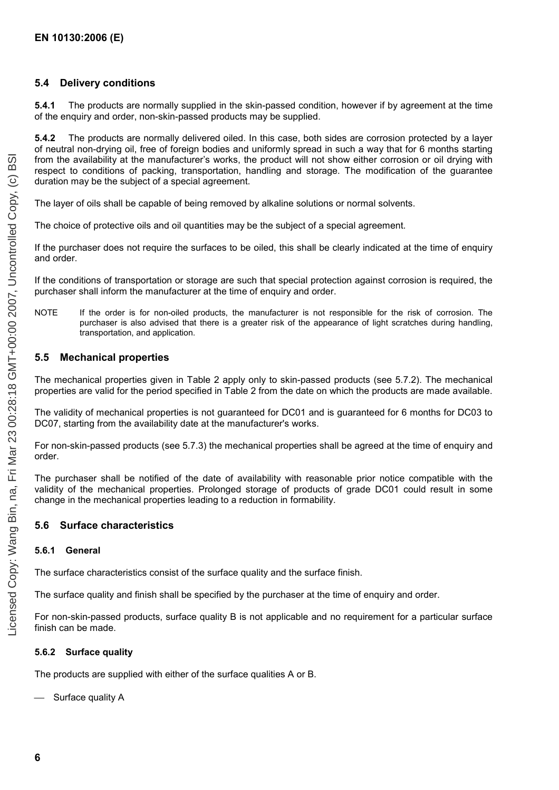### **5.4 Delivery conditions**

**5.4.1** The products are normally supplied in the skin-passed condition, however if by agreement at the time of the enquiry and order, non-skin-passed products may be supplied.

**5.4.2** The products are normally delivered oiled. In this case, both sides are corrosion protected by a layer of neutral non-drying oil, free of foreign bodies and uniformly spread in such a way that for 6 months starting from the availability at the manufacturer's works, the product will not show either corrosion or oil drying with respect to conditions of packing, transportation, handling and storage. The modification of the guarantee duration may be the subject of a special agreement.

The layer of oils shall be capable of being removed by alkaline solutions or normal solvents.

The choice of protective oils and oil quantities may be the subject of a special agreement.

If the purchaser does not require the surfaces to be oiled, this shall be clearly indicated at the time of enquiry and order.

If the conditions of transportation or storage are such that special protection against corrosion is required, the purchaser shall inform the manufacturer at the time of enquiry and order.

NOTE If the order is for non-oiled products, the manufacturer is not responsible for the risk of corrosion. The purchaser is also advised that there is a greater risk of the appearance of light scratches during handling, transportation, and application.

### **5.5 Mechanical properties**

to skin-passed products (see 5.7.2). The mechanical<br>om the date on which the products are made available.<br>for DC01 and is guaranteed for 6 months for DC03 to The mechanical properties given in Table 2 apply only to skin-passed products (see 5.7.2). The mechanical properties are valid for the period specified in Table 2 from the date on which the products are made available.

The validity of mechanical properties is not guaranteed for DC01 and is guaranteed for 6 months for DC03 to DC07, starting from the availability date at the manufacturer's works.

For non-skin-passed products (see 5.7.3) the mechanical properties shall be agreed at the time of enquiry and order.

The purchaser shall be notified of the date of availability with reasonable prior notice compatible with the validity of the mechanical properties. Prolonged storage of products of grade DC01 could result in some change in the mechanical properties leading to a reduction in formability.

### **5.6 Surface characteristics**

### **5.6.1 General**

The surface characteristics consist of the surface quality and the surface finish.

The surface quality and finish shall be specified by the purchaser at the time of enquiry and order.

For non-skin-passed products, surface quality B is not applicable and no requirement for a particular surface finish can be made.

### **5.6.2 Surface quality**

The products are supplied with either of the surface qualities A or B.

Surface quality A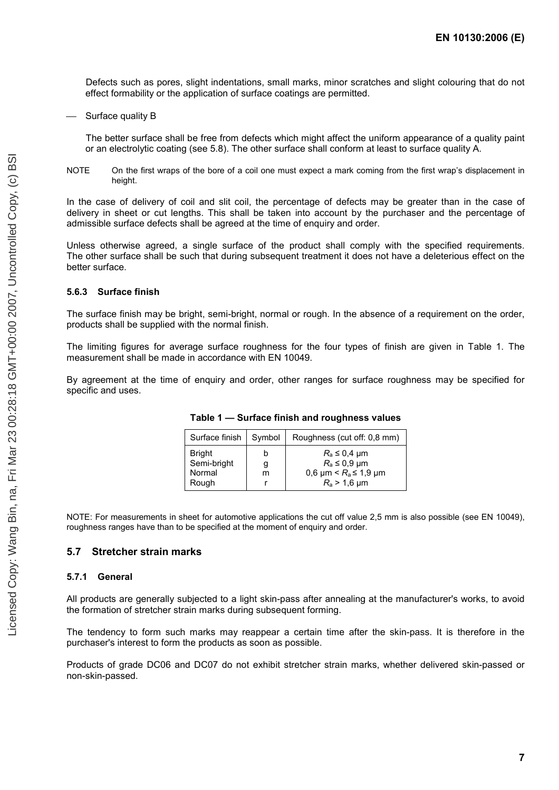Defects such as pores, slight indentations, small marks, minor scratches and slight colouring that do not effect formability or the application of surface coatings are permitted.

Surface quality B

 The better surface shall be free from defects which might affect the uniform appearance of a quality paint or an electrolytic coating (see 5.8). The other surface shall conform at least to surface quality A.

NOTE On the first wraps of the bore of a coil one must expect a mark coming from the first wrap's displacement in height.

In the case of delivery of coil and slit coil, the percentage of defects may be greater than in the case of delivery in sheet or cut lengths. This shall be taken into account by the purchaser and the percentage of admissible surface defects shall be agreed at the time of enquiry and order.

Unless otherwise agreed, a single surface of the product shall comply with the specified requirements. The other surface shall be such that during subsequent treatment it does not have a deleterious effect on the better surface.

### **5.6.3 Surface finish**

The surface finish may be bright, semi-bright, normal or rough. In the absence of a requirement on the order, products shall be supplied with the normal finish.

The limiting figures for average surface roughness for the four types of finish are given in Table 1. The measurement shall be made in accordance with EN 10049.

By agreement at the time of enquiry and order, other ranges for surface roughness may be specified for specific and uses. specific and uses.

| Surface finish                                  | Symbol | Roughness (cut off: 0,8 mm)                                                                      |  |  |  |  |  |  |
|-------------------------------------------------|--------|--------------------------------------------------------------------------------------------------|--|--|--|--|--|--|
| <b>Bright</b><br>Semi-bright<br>Normal<br>Rough | g<br>m | $R_a \leq 0.4$ µm<br>$R_a \leq 0.9$ µm<br>0,6 $\mu$ m < $R_a \le 1.9 \mu$ m<br>$R_a > 1.6 \mu m$ |  |  |  |  |  |  |

**Table 1 — Surface finish and roughness values** 

NOTE: For measurements in sheet for automotive applications the cut off value 2,5 mm is also possible (see EN 10049), roughness ranges have than to be specified at the moment of enquiry and order.

### **5.7 Stretcher strain marks**

### **5.7.1 General**

All products are generally subjected to a light skin-pass after annealing at the manufacturer's works, to avoid the formation of stretcher strain marks during subsequent forming.

The tendency to form such marks may reappear a certain time after the skin-pass. It is therefore in the purchaser's interest to form the products as soon as possible.

Products of grade DC06 and DC07 do not exhibit stretcher strain marks, whether delivered skin-passed or non-skin-passed.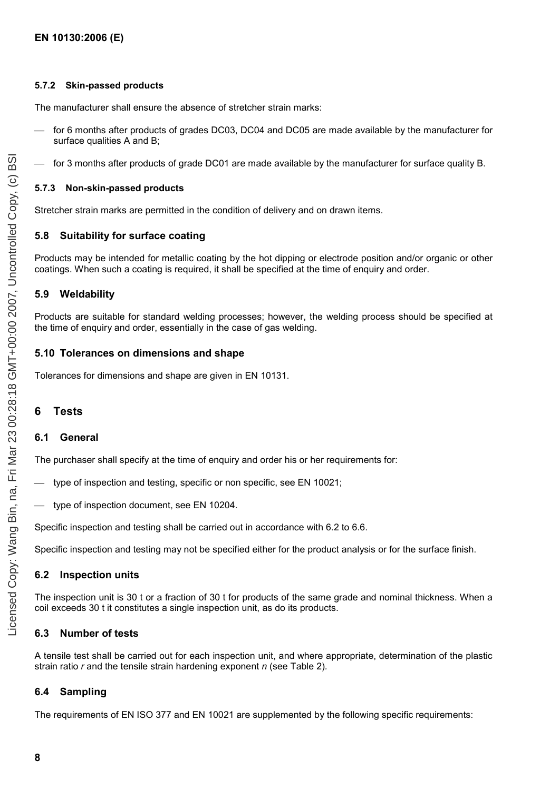### **5.7.2 Skin-passed products**

The manufacturer shall ensure the absence of stretcher strain marks:

- for 6 months after products of grades DC03, DC04 and DC05 are made available by the manufacturer for surface qualities A and B;
- for 3 months after products of grade DC01 are made available by the manufacturer for surface quality B.

### **5.7.3 Non-skin-passed products**

Stretcher strain marks are permitted in the condition of delivery and on drawn items.

### **5.8 Suitability for surface coating**

Products may be intended for metallic coating by the hot dipping or electrode position and/or organic or other coatings. When such a coating is required, it shall be specified at the time of enquiry and order.

### **5.9 Weldability**

Products are suitable for standard welding processes; however, the welding process should be specified at the time of enquiry and order, essentially in the case of gas welding.

### **5.10 Tolerances on dimensions and shape**

 $\sim$  0131. Tolerances for dimensions and shape are given in EN 10131.

### **6 Tests**

### **6.1 General**

The purchaser shall specify at the time of enquiry and order his or her requirements for:

- type of inspection and testing, specific or non specific, see EN 10021;
- type of inspection document, see EN 10204.

Specific inspection and testing shall be carried out in accordance with 6.2 to 6.6.

Specific inspection and testing may not be specified either for the product analysis or for the surface finish.

### **6.2 Inspection units**

The inspection unit is 30 t or a fraction of 30 t for products of the same grade and nominal thickness. When a coil exceeds 30 t it constitutes a single inspection unit, as do its products.

### **6.3 Number of tests**

A tensile test shall be carried out for each inspection unit, and where appropriate, determination of the plastic strain ratio *r* and the tensile strain hardening exponent *n* (see Table 2)*.* 

### **6.4 Sampling**

The requirements of EN ISO 377 and EN 10021 are supplemented by the following specific requirements: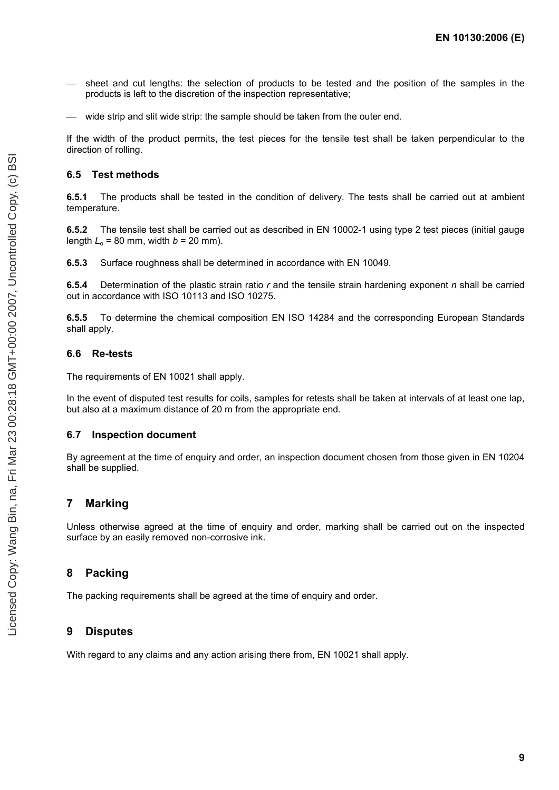- sheet and cut lengths: the selection of products to be tested and the position of the samples in the products is left to the discretion of the inspection representative;
- wide strip and slit wide strip: the sample should be taken from the outer end.

If the width of the product permits, the test pieces for the tensile test shall be taken perpendicular to the direction of rolling.

### **6.5 Test methods**

**6.5.1** The products shall be tested in the condition of delivery. The tests shall be carried out at ambient temperature.

**6.5.2** The tensile test shall be carried out as described in EN 10002-1 using type 2 test pieces (initial gauge length  $L_0$  = 80 mm, width  $b$  = 20 mm).

**6.5.3** Surface roughness shall be determined in accordance with EN 10049.

**6.5.4** Determination of the plastic strain ratio *r* and the tensile strain hardening exponent *n* shall be carried out in accordance with ISO 10113 and ISO 10275.

**6.5.5** To determine the chemical composition EN ISO 14284 and the corresponding European Standards shall apply.

### **6.6 Re-tests**

The requirements of EN 10021 shall apply.

In the event of disputed test results for coils, samples for retests shall be taken at intervals of at least one lap, but also at a maximum distance of 20 m from the appropriate end.

### **6.7 Inspection document**

By agreement at the time of enquiry and order, an inspection document chosen from those given in EN 10204 shall be supplied.

### **7 Marking**

Unless otherwise agreed at the time of enquiry and order, marking shall be carried out on the inspected surface by an easily removed non-corrosive ink.

### **8 Packing**

The packing requirements shall be agreed at the time of enquiry and order.

### **9 Disputes**

With regard to any claims and any action arising there from, EN 10021 shall apply.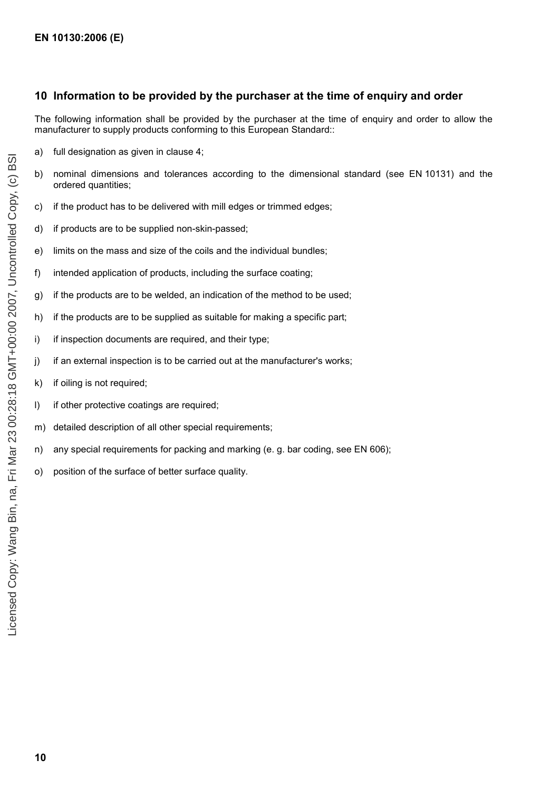### **10 Information to be provided by the purchaser at the time of enquiry and order**

The following information shall be provided by the purchaser at the time of enquiry and order to allow the manufacturer to supply products conforming to this European Standard::

- a) full designation as given in clause 4;
- b) nominal dimensions and tolerances according to the dimensional standard (see EN 10131) and the ordered quantities;
- c) if the product has to be delivered with mill edges or trimmed edges;
- d) if products are to be supplied non-skin-passed;
- e) limits on the mass and size of the coils and the individual bundles;
- f) intended application of products, including the surface coating;
- g) if the products are to be welded, an indication of the method to be used;
- h) if the products are to be supplied as suitable for making a specific part;
- i) if inspection documents are required, and their type;
- j) if an external inspection is to be carried out at the manufacturer's works;
- k) if oiling is not required;
- l) if other protective coatings are required;
- m) detailed description of all other special requirements;
- n) any special requirements for packing and marking (e. g. bar coding, see EN 606);
- o) position of the surface of better surface quality.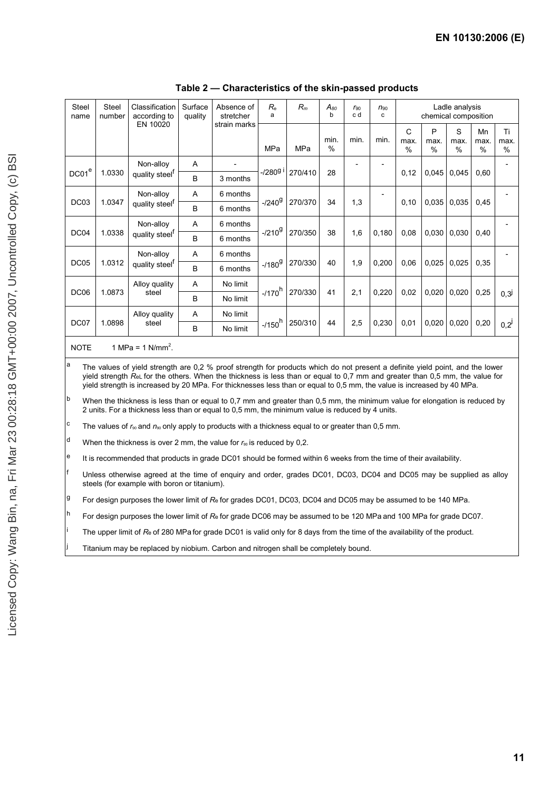| Steel<br>name                                | Steel<br>number | Classification<br>according to          | Surface<br>quality | Absence of<br>stretcher | $R_{\rm e}$<br>a        | $R_m$   | $A_{80}$<br>b         | $r_{90}$<br>c d | $n_{90}$<br>c  | Ladle analysis<br>chemical composition |                            |                            |                             |                          |  |
|----------------------------------------------|-----------------|-----------------------------------------|--------------------|-------------------------|-------------------------|---------|-----------------------|-----------------|----------------|----------------------------------------|----------------------------|----------------------------|-----------------------------|--------------------------|--|
|                                              |                 | EN 10020                                |                    | strain marks            | MPa                     | MPa     | min.<br>$\frac{0}{0}$ | min.            | min.           | C<br>max.<br>$\%$                      | P<br>max.<br>$\frac{0}{0}$ | S<br>max.<br>$\frac{0}{0}$ | Mn<br>max.<br>$\frac{0}{0}$ | Ti<br>max.<br>$\%$       |  |
|                                              | 1.0330          | Non-alloy<br>quality steel <sup>t</sup> | A                  |                         | $-$ /280 <sup>g i</sup> | 270/410 | 28                    |                 | $\overline{a}$ | 0,12                                   | 0,045                      | 0,045                      | 0,60                        | $\overline{\phantom{a}}$ |  |
| DCO1 <sup>e</sup>                            |                 |                                         | B                  | 3 months                |                         |         |                       |                 |                |                                        |                            |                            |                             |                          |  |
|                                              | 1.0347          | Non-alloy<br>quality steel <sup>T</sup> | A                  | 6 months                | $-1240^{9}$             | 270/370 | 34                    | 1,3             |                | 0, 10                                  | 0,035                      | 0,035                      |                             |                          |  |
| DC03                                         |                 |                                         | B                  | 6 months                |                         |         |                       |                 |                |                                        |                            |                            | 0,45                        |                          |  |
|                                              | 1.0338          | Non-alloy<br>quality steel <sup>t</sup> | A                  | 6 months                | $-1210^9$               | 270/350 | 38                    | 1,6             | 0,180          | 0,08                                   | 0,030                      | 0,030                      | 0,40                        |                          |  |
| DC04                                         |                 |                                         | B                  | 6 months                |                         |         |                       |                 |                |                                        |                            |                            |                             |                          |  |
|                                              | 1.0312          | Non-alloy<br>quality steel <sup>f</sup> | A                  | 6 months                | $-180^9$                | 270/330 | 40                    | 1,9             | 0,200          | 0,06                                   | 0,025                      | 0.025                      | 0.35                        |                          |  |
| <b>DC05</b>                                  |                 |                                         | B                  | 6 months                |                         |         |                       |                 |                |                                        |                            |                            |                             |                          |  |
|                                              | 1.0873          | Alloy quality<br>steel                  | A                  | No limit                | $-170^h$                | 270/330 | 41                    | 2,1             | 0,220          | 0,02                                   | 0,020                      | 0,020                      | 0,25                        |                          |  |
| DC <sub>06</sub>                             |                 |                                         | B                  | No limit                |                         |         |                       |                 |                |                                        |                            |                            |                             | $0,3^{j}$                |  |
|                                              | 1.0898          | Alloy quality<br>steel                  | A                  | No limit                | $-150^h$                | 250/310 | 44                    | 2,5             | 0,230          | 0,01                                   | 0,020                      | 0,020                      | 0,20                        |                          |  |
| DC07                                         |                 |                                         | B                  | No limit                |                         |         |                       |                 |                |                                        |                            |                            |                             | $0,2^{\mathsf{J}}$       |  |
| <b>NOTE</b><br>1 MPa = 1 N/mm <sup>2</sup> . |                 |                                         |                    |                         |                         |         |                       |                 |                |                                        |                            |                            |                             |                          |  |

### **Table 2 — Characteristics of the skin-passed products**

The values of yield strength are 0,2 % proof strength for products which do not present a definite yield point, and the lower yield strength *R*eL for the others. When the thickness is less than or equal to 0,7 mm and greater than 0,5 mm, the value for yield strength is increased by 20 MPa. For thicknesses less than or equal to 0,5 mm, the value is increased by 40 MPa.

b When the thickness is less than or equal to 0,7 mm and greater than 0,5 mm, the minimum value for elongation is reduced by 2 units. For a thickness less than or equal to 0,5 mm, the minimum value is reduced by 4 units.

<sup>c</sup> The values of  $r_{90}$  and  $n_{90}$  only apply to products with a thickness equal to or greater than 0,5 mm.

<sup>d</sup> When the thickness is over 2 mm, the value for  $r_{90}$  is reduced by 0,2.

e It is recommended that products in grade DC01 should be formed within 6 weeks from the time of their availability.

 Unless otherwise agreed at the time of enquiry and order, grades DC01, DC03, DC04 and DC05 may be supplied as alloy steels (for example with boron or titanium).

g For design purposes the lower limit of *R*e for grades DC01, DC03, DC04 and DC05 may be assumed to be 140 MPa.

For design purposes the lower limit of *R*e for grade DC06 may be assumed to be 120 MPa and 100 MPa for grade DC07.

The upper limit of Re of 280 MPa for grade DC01 is valid only for 8 days from the time of the availability of the product.

Titanium may be replaced by niobium. Carbon and nitrogen shall be completely bound.

f

i

j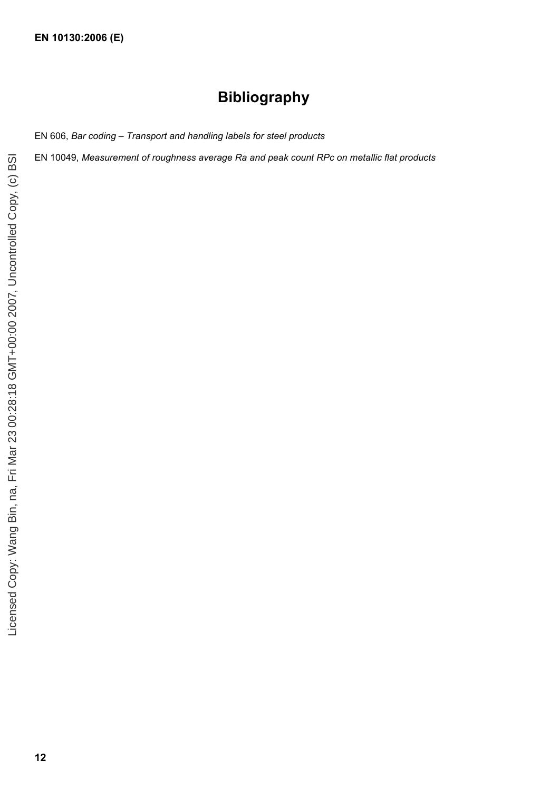# **Bibliography**

EN 606, *Bar coding – Transport and handling labels for steel products* 

EN 10049, *Measurement of roughness average Ra and peak count RPc on metallic flat products*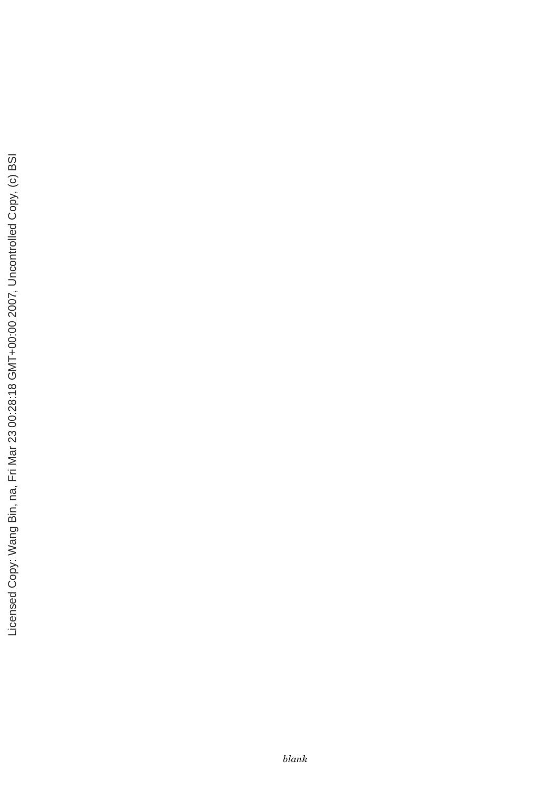Licensed Copy: Wang Bin, na, Fri Mar 23 00:28:18 GMT+00:00 2007, Uncontrolled Copy, (c) BSI Licensed Copy: Wang Bin, na, Fri Mar 23 00:28:18 GMT+00:00 2007, Uncontrolled Copy, (c) BSI